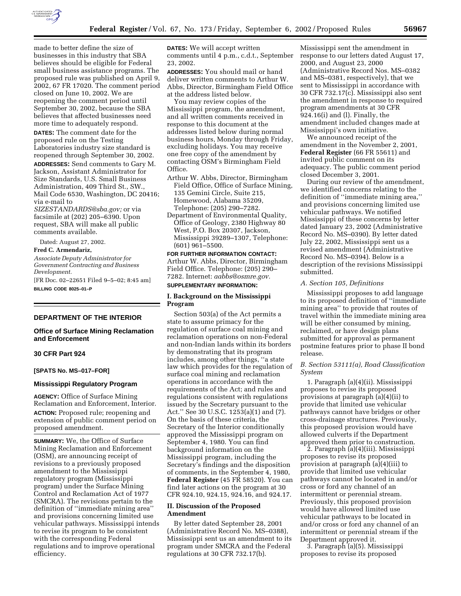

made to better define the size of businesses in this industry that SBA believes should be eligible for Federal small business assistance programs. The proposed rule was published on April 9, 2002, 67 FR 17020. The comment period closed on June 10, 2002. We are reopening the comment period until September 30, 2002, because the SBA believes that affected businesses need more time to adequately respond.

**DATES:** The comment date for the proposed rule on the Testing Laboratories industry size standard is reopened through September 30, 2002.

**ADDRESSES:** Send comments to Gary M. Jackson, Assistant Administrator for Size Standards, U.S. Small Business Administration, 409 Third St., SW., Mail Code 6530, Washington, DC 20416; via e-mail to

*SIZESTANDARDS@sba.gov;* or via facsimile at (202) 205–6390. Upon request, SBA will make all public comments available.

Dated: August 27, 2002.

#### **Fred C. Armendariz,**

*Associate Deputy Administrator for Government Contracting and Business Development.*

[FR Doc. 02–22651 Filed 9–5–02; 8:45 am] **BILLING CODE 8025–01–P**

### **DEPARTMENT OF THE INTERIOR**

### **Office of Surface Mining Reclamation and Enforcement**

## **30 CFR Part 924**

### **[SPATS No. MS–017–FOR]**

#### **Mississippi Regulatory Program**

**AGENCY:** Office of Surface Mining Reclamation and Enforcement, Interior. **ACTION:** Proposed rule; reopening and extension of public comment period on proposed amendment.

**SUMMARY:** We, the Office of Surface Mining Reclamation and Enforcement (OSM), are announcing receipt of revisions to a previously proposed amendment to the Mississippi regulatory program (Mississippi program) under the Surface Mining Control and Reclamation Act of 1977 (SMCRA). The revisions pertain to the definition of ''immediate mining area'' and provisions concerning limited use vehicular pathways. Mississippi intends to revise its program to be consistent with the corresponding Federal regulations and to improve operational efficiency.

**DATES:** We will accept written comments until 4 p.m., c.d.t., September 23, 2002.

**ADDRESSES:** You should mail or hand deliver written comments to Arthur W. Abbs, Director, Birmingham Field Office at the address listed below.

You may review copies of the Mississippi program, the amendment, and all written comments received in response to this document at the addresses listed below during normal business hours, Monday through Friday, excluding holidays. You may receive one free copy of the amendment by contacting OSM's Birmingham Field Office.

- Arthur W. Abbs, Director, Birmingham Field Office, Office of Surface Mining, 135 Gemini Circle, Suite 215, Homewood, Alabama 35209, Telephone: (205) 290–7282.
- Department of Environmental Quality, Office of Geology, 2380 Highway 80 West, P.O. Box 20307, Jackson, Mississippi 39289–1307, Telephone: (601) 961–5500.

**FOR FURTHER INFORMATION CONTACT:** Arthur W. Abbs, Director, Birmingham Field Office. Telephone: (205) 290– 7282. Internet: *aabbs@osmre.gov.*

# **SUPPLEMENTARY INFORMATION:**

## **I. Background on the Mississippi Program**

Section 503(a) of the Act permits a state to assume primacy for the regulation of surface coal mining and reclamation operations on non-Federal and non-Indian lands within its borders by demonstrating that its program includes, among other things, ''a state law which provides for the regulation of surface coal mining and reclamation operations in accordance with the requirements of the Act; and rules and regulations consistent with regulations issued by the Secretary pursuant to the Act.'' See 30 U.S.C. 1253(a)(1) and (7). On the basis of these criteria, the Secretary of the Interior conditionally approved the Mississippi program on September 4, 1980. You can find background information on the Mississippi program, including the Secretary's findings and the disposition of comments, in the September 4, 1980, **Federal Register** (45 FR 58520). You can find later actions on the program at 30 CFR 924.10, 924.15, 924.16, and 924.17.

## **II. Discussion of the Proposed Amendment**

By letter dated September 28, 2001 (Administrative Record No. MS–0388), Mississippi sent us an amendment to its program under SMCRA and the Federal regulations at 30 CFR 732.17(b).

Mississippi sent the amendment in response to our letters dated August 17, 2000, and August 23, 2000 (Administrative Record Nos. MS–0382 and MS–0381, respectively), that we sent to Mississippi in accordance with 30 CFR 732.17(c). Mississippi also sent the amendment in response to required program amendments at 30 CFR 924.16(i) and (l). Finally, the amendment included changes made at Mississippi's own initiative.

We announced receipt of the amendment in the November 2, 2001, **Federal Register** (66 FR 55611) and invited public comment on its adequacy. The public comment period closed December 3, 2001.

During our review of the amendment, we identified concerns relating to the definition of ''immediate mining area,'' and provisions concerning limited use vehicular pathways. We notified Mississippi of these concerns by letter dated January 23, 2002 (Administrative Record No. MS–0390). By letter dated July 22, 2002, Mississippi sent us a revised amendment (Administrative Record No. MS–0394). Below is a description of the revisions Mississippi submitted.

#### *A. Section 105, Definitions*

Mississippi proposes to add language to its proposed definition of ''immediate mining area'' to provide that routes of travel within the immediate mining area will be either consumed by mining, reclaimed, or have design plans submitted for approval as permanent postmine features prior to phase II bond release.

## *B. Section 53111(a), Road Classification System*

1. Paragraph (a)(4)(ii). Mississippi proposes to revise its proposed provisions at paragraph (a)(4)(ii) to provide that limited use vehicular pathways cannot have bridges or other cross-drainage structures. Previously, this proposed provision would have allowed culverts if the Department approved them prior to construction.

2. Paragraph (a)(4)(iii). Mississippi proposes to revise its proposed provision at paragraph (a)(4)(iii) to provide that limited use vehicular pathways cannot be located in and/or cross or ford any channel of an intermittent or perennial stream. Previously, this proposed provision would have allowed limited use vehicular pathways to be located in and/or cross or ford any channel of an intermittent or perennial stream if the Department approved it.

3. Paragraph (a)(5). Mississippi proposes to revise its proposed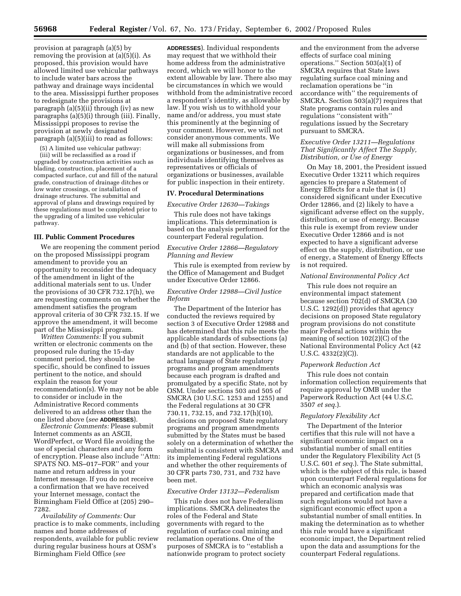provision at paragraph (a)(5) by removing the provision at (a)(5)(i). As proposed, this provision would have allowed limited use vehicular pathways to include water bars across the pathway and drainage ways incidental to the area. Mississippi further proposes to redesignate the provisions at paragraph (a)(5)(ii) through (iv) as new paragraphs (a)(5)(i) through (iii). Finally, Mississippi proposes to revise the provision at newly designated paragraph (a)(5)(iii) to read as follows:

(5) A limited use vehicular pathway:

(iii) will be reclassified as a road if upgraded by construction activities such as blading, construction, placement of a compacted surface, cut and fill of the natural grade, construction of drainage ditches or low water crossings, or installation of drainage structures. The submittal and approval of plans and drawings required by these regulations must be completed prior to the upgrading of a limited use vehicular pathway.

#### **III. Public Comment Procedures**

We are reopening the comment period on the proposed Mississippi program amendment to provide you an opportunity to reconsider the adequacy of the amendment in light of the additional materials sent to us. Under the provisions of 30 CFR 732.17(h), we are requesting comments on whether the amendment satisfies the program approval criteria of 30 CFR 732.15. If we approve the amendment, it will become part of the Mississippi program.

*Written Comments:* If you submit written or electronic comments on the proposed rule during the 15-day comment period, they should be specific, should be confined to issues pertinent to the notice, and should explain the reason for your recommendation(s). We may not be able to consider or include in the Administrative Record comments delivered to an address other than the one listed above (*see* **ADDRESSES**).

*Electronic Comments:* Please submit Internet comments as an ASCII, WordPerfect, or Word file avoiding the use of special characters and any form of encryption. Please also include ''Attn: SPATS NO. MS–017–FOR'' and your name and return address in your Internet message. If you do not receive a confirmation that we have received your Internet message, contact the Birmingham Field Office at (205) 290– 7282.

*Availability of Comments:* Our practice is to make comments, including names and home addresses of respondents, available for public review during regular business hours at OSM's Birmingham Field Office (*see*

**ADDRESSES**). Individual respondents may request that we withhold their home address from the administrative record, which we will honor to the extent allowable by law. There also may be circumstances in which we would withhold from the administrative record a respondent's identity, as allowable by law. If you wish us to withhold your name and/or address, you must state this prominently at the beginning of your comment. However, we will not consider anonymous comments. We will make all submissions from organizations or businesses, and from individuals identifying themselves as representatives or officials of organizations or businesses, available for public inspection in their entirety.

### **IV. Procedural Determinations**

*Executive Order 12630—Takings* 

This rule does not have takings implications. This determination is based on the analysis performed for the counterpart Federal regulation.

## *Executive Order 12866—Regulatory Planning and Review*

This rule is exempted from review by the Office of Management and Budget under Executive Order 12866.

### *Executive Order 12988—Civil Justice Reform*

The Department of the Interior has conducted the reviews required by section 3 of Executive Order 12988 and has determined that this rule meets the applicable standards of subsections (a) and (b) of that section. However, these standards are not applicable to the actual language of State regulatory programs and program amendments because each program is drafted and promulgated by a specific State, not by OSM. Under sections 503 and 505 of SMCRA (30 U.S.C. 1253 and 1255) and the Federal regulations at 30 CFR 730.11, 732.15, and 732.17(h)(10), decisions on proposed State regulatory programs and program amendments submitted by the States must be based solely on a determination of whether the submittal is consistent with SMCRA and its implementing Federal regulations and whether the other requirements of 30 CFR parts 730, 731, and 732 have been met.

## *Executive Order 13132—Federalism*

This rule does not have Federalism implications. SMCRA delineates the roles of the Federal and State governments with regard to the regulation of surface coal mining and reclamation operations. One of the purposes of SMCRA is to ''establish a nationwide program to protect society

and the environment from the adverse effects of surface coal mining operations.'' Section 503(a)(1) of SMCRA requires that State laws regulating surface coal mining and reclamation operations be ''in accordance with'' the requirements of SMCRA. Section 503(a)(7) requires that State programs contain rules and regulations ''consistent with'' regulations issued by the Secretary pursuant to SMCRA.

### *Executive Order 13211—Regulations That Significantly Affect The Supply, Distribution, or Use of Energy*

On May 18, 2001, the President issued Executive Order 13211 which requires agencies to prepare a Statement of Energy Effects for a rule that is (1) considered significant under Executive Order 12866, and (2) likely to have a significant adverse effect on the supply, distribution, or use of energy. Because this rule is exempt from review under Executive Order 12866 and is not expected to have a significant adverse effect on the supply, distribution, or use of energy, a Statement of Energy Effects is not required.

### *National Environmental Policy Act*

This rule does not require an environmental impact statement because section 702(d) of SMCRA (30 U.S.C. 1292(d)) provides that agency decisions on proposed State regulatory program provisions do not constitute major Federal actions within the meaning of section 102(2)(C) of the National Environmental Policy Act (42 U.S.C. 4332(2)(C)).

#### *Paperwork Reduction Act*

This rule does not contain information collection requirements that require approval by OMB under the Paperwork Reduction Act (44 U.S.C. 3507 *et seq.*).

#### *Regulatory Flexibility Act*

The Department of the Interior certifies that this rule will not have a significant economic impact on a substantial number of small entities under the Regulatory Flexibility Act (5 U.S.C. 601 *et seq.*). The State submittal, which is the subject of this rule, is based upon counterpart Federal regulations for which an economic analysis was prepared and certification made that such regulations would not have a significant economic effect upon a substantial number of small entities. In making the determination as to whether this rule would have a significant economic impact, the Department relied upon the data and assumptions for the counterpart Federal regulations.